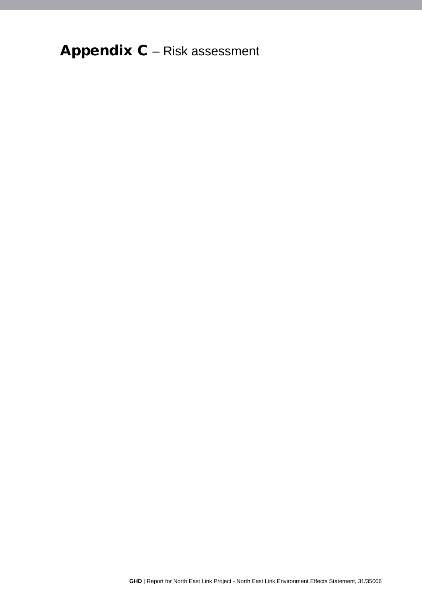## Appendix C - Risk assessment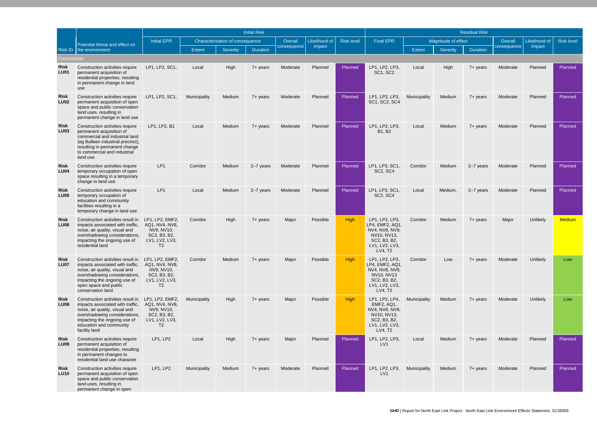|                            | Potential threat and effect on                                                                                                                                                                                         | <b>Initial Risk</b>                                                                                 |                                 |          |                 |               |                   |                  |                                                                                                                 | <b>Residual Risk</b> |                 |                 |               |                   |               |  |
|----------------------------|------------------------------------------------------------------------------------------------------------------------------------------------------------------------------------------------------------------------|-----------------------------------------------------------------------------------------------------|---------------------------------|----------|-----------------|---------------|-------------------|------------------|-----------------------------------------------------------------------------------------------------------------|----------------------|-----------------|-----------------|---------------|-------------------|---------------|--|
|                            |                                                                                                                                                                                                                        | <b>Initial EPR</b>                                                                                  | Characterisation of consequence |          | Overall         | Likelihood of | <b>Risk level</b> | <b>Final EPR</b> | Magnitude of effect                                                                                             |                      |                 | Overall         | Likelihood of | <b>Risk level</b> |               |  |
|                            | Risk ID the environment                                                                                                                                                                                                |                                                                                                     | <b>Extent</b>                   | Severity | <b>Duration</b> | consequence   | impact            |                  |                                                                                                                 | <b>Extent</b>        | <b>Severity</b> | <b>Duration</b> | consequence   | impact            |               |  |
| Construction               |                                                                                                                                                                                                                        |                                                                                                     |                                 |          |                 |               |                   |                  |                                                                                                                 |                      |                 |                 |               |                   |               |  |
| <b>Risk</b><br><b>LU01</b> | Construction activities require<br>permanent acquisition of<br>residential properties, resulting<br>in permanent change in land<br>use                                                                                 | LP1, LP2, SC1,                                                                                      | Local                           | High     | 7+ years        | Moderate      | Planned           | Planned          | LP1, LP2, LP3,<br>SC1, SC2                                                                                      | Local                | High            | 7+ years        | Moderate      | Planned           | Planned       |  |
| Risk<br><b>LU02</b>        | Construction activities require<br>permanent acquisition of open<br>space and public conservation<br>land uses, resulting in<br>permanent change in land use                                                           | LP1, LP2, SC1,                                                                                      | Municipality                    | Medium   | 7+ years        | Moderate      | Planned           | Planned          | LP1, LP2, LP3,<br>SC1, SC2, SC4                                                                                 | Municipality         | Medium          | 7+ years        | Moderate      | Planned           | Planned       |  |
| <b>Risk</b><br><b>LU03</b> | Construction activities require<br>permanent acquisition of<br>commercial and industrial land<br>(eg Bulleen industrial precinct),<br>resulting in permanent change<br>to commercial and industrial<br>land use        | LP1, LP2, B1                                                                                        | Local                           | Medium   | 7+ years        | Moderate      | Planned           | Planned          | LP1, LP2, LP3,<br><b>B1, B2</b>                                                                                 | Local                | Medium          | $7 +$ years     | Moderate      | Planned           | Planned       |  |
| Risk<br><b>LU04</b>        | Construction activities require<br>temporary occupation of open<br>space resulting in a temporary<br>change in land use                                                                                                | LP <sub>1</sub>                                                                                     | Corridor                        | Medium   | 2-7 years       | Moderate      | Planned           | Planned          | LP1, LP3, SC1<br><b>SC2, SC4</b>                                                                                | Corridor             | Medium          | 2-7 years       | Moderate      | Planned           | Planned       |  |
| <b>Risk</b><br><b>LU05</b> | Construction activities require<br>temporary occupation of<br>education and community<br>facilities resulting in a<br>temporary change in land use                                                                     | LP1                                                                                                 | Local                           | Medium   | 2-7 years       | Moderate      | Planned           | Planned          | LP1, LP3, SC1,<br>SC <sub>2</sub> , SC <sub>4</sub>                                                             | Local                | Medium,         | 2-7 years       | Moderate      | Planned           | Planned       |  |
| <b>Risk</b><br><b>LU06</b> | Construction activities result in<br>impacts associated with traffic,<br>noise, air quality, visual and<br>overshadowing considerations,<br>impacting the ongoing use of<br>residential land                           | LP1, LP2, EMF2,<br>AQ1, NV4, NV8,<br>NV9, NV10,<br>SC2, B3, B2,<br>LV1, LV2, LV3,<br>T <sub>2</sub> | Corridor                        | High     | 7+ years        | Major         | Possible          | <b>High</b>      | LP1, LP2, LP3,<br>LP4, EMF2, AQ1,<br>NV4, NV8, NV9,<br>NV10, NV13,<br>SC2, B3, B2,<br>LV1, LV2, LV3,<br>LV4, T2 | Corridor             | Medium          | 7+ years        | Major         | Unlikely          | <b>Medium</b> |  |
| <b>Risk</b><br><b>LU07</b> | Construction activities result in<br>impacts associated with traffic,<br>noise, air quality, visual and<br>overshadowing considerations,<br>impacting the ongoing use of<br>open space and public<br>conservation land | LP1, LP2, EMF2,<br>AQ1, NV4, NV8,<br>NV9, NV10,<br>SC2, B3, B2,<br>LV1, LV2, LV3,<br>T <sub>2</sub> | Corridor                        | Medium   | 7+ years        | Major         | Possible          | <b>High</b>      | LP1, LP2, LP3,<br>LP4, EMF2, AQ1,<br>NV4, NV8, NV9,<br>NV10, NV13<br>SC2, B3, B2,<br>LV1, LV2, LV3,<br>LV4, T2  | Corridor             | Low             | 7+ years        | Moderate      | Unlikely          | Low           |  |
| <b>Risk</b><br><b>LU08</b> | Construction activities result in<br>impacts associated with traffic,<br>noise, air quality, visual and<br>overshadowing considerations,<br>impacting the ongoing use of<br>education and community<br>facility land   | LP1, LP2, EMF2,<br>AQ1, NV4, NV8,<br>NV9, NV10,<br>SC2, B3, B2,<br>LV1, LV2, LV3,<br>T <sub>2</sub> | Municipality                    | High     | 7+ years        | Major         | Possible          | <b>High</b>      | LP1, LP2, LP4,<br>EMF2, AQ1,<br>NV4, NV8, NV9,<br>NV10, NV13,<br>SC2, B3, B2,<br>LV1, LV2, LV3,<br>LV4, T2      | Municipality         | Medium          | 7+ years        | Moderate      | Unlikely          | Low           |  |
| <b>Risk</b><br><b>LU09</b> | Construction activities require<br>permanent acquisition of<br>residential properties, resulting<br>in permanent changes to<br>residential land use character                                                          | LP1, LP2                                                                                            | Local                           | High     | 7+ years        | Major         | Planned           | Planned          | LP1, LP2, LP3,<br>LV1                                                                                           | Local                | Medium          | 7+ years        | Moderate      | Planned           | Planned       |  |
| <b>Risk</b><br><b>LU10</b> | Construction activities require<br>permanent acquisition of open<br>space and public conservation<br>land uses, resulting in<br>permanent change in open                                                               | LP1, LP2                                                                                            | Municipality                    | Medium   | 7+ years        | Moderate      | Planned           | Planned          | LP1, LP2, LP3,<br>LV1                                                                                           | Municipality         | Medium          | 7+ years        | Moderate      | Planned           | Planned       |  |